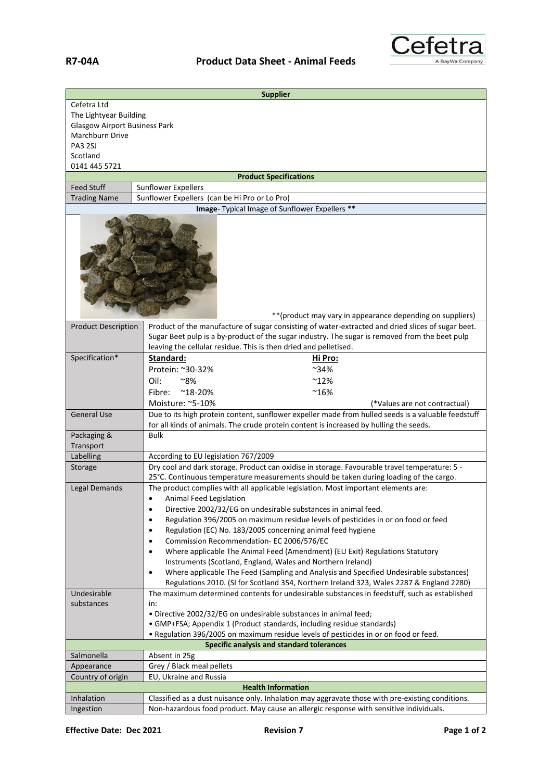

|                                                                                                                                                                            | <b>Supplier</b>                                                                                                                                                                                                                                                         |  |  |
|----------------------------------------------------------------------------------------------------------------------------------------------------------------------------|-------------------------------------------------------------------------------------------------------------------------------------------------------------------------------------------------------------------------------------------------------------------------|--|--|
| Cefetra Ltd                                                                                                                                                                |                                                                                                                                                                                                                                                                         |  |  |
| The Lightyear Building<br><b>Glasgow Airport Business Park</b>                                                                                                             |                                                                                                                                                                                                                                                                         |  |  |
| Marchburn Drive                                                                                                                                                            |                                                                                                                                                                                                                                                                         |  |  |
| PA3 2SJ                                                                                                                                                                    |                                                                                                                                                                                                                                                                         |  |  |
| Scotland                                                                                                                                                                   |                                                                                                                                                                                                                                                                         |  |  |
| 0141 445 5721                                                                                                                                                              |                                                                                                                                                                                                                                                                         |  |  |
|                                                                                                                                                                            | <b>Product Specifications</b>                                                                                                                                                                                                                                           |  |  |
| <b>Feed Stuff</b>                                                                                                                                                          | <b>Sunflower Expellers</b>                                                                                                                                                                                                                                              |  |  |
| <b>Trading Name</b>                                                                                                                                                        | Sunflower Expellers (can be Hi Pro or Lo Pro)                                                                                                                                                                                                                           |  |  |
|                                                                                                                                                                            | Image- Typical Image of Sunflower Expellers **                                                                                                                                                                                                                          |  |  |
| ** (product may vary in appearance depending on suppliers)                                                                                                                 |                                                                                                                                                                                                                                                                         |  |  |
| <b>Product Description</b>                                                                                                                                                 | Product of the manufacture of sugar consisting of water-extracted and dried slices of sugar beet.<br>Sugar Beet pulp is a by-product of the sugar industry. The sugar is removed from the beet pulp<br>leaving the cellular residue. This is then dried and pelletised. |  |  |
| Specification*                                                                                                                                                             | Standard:<br><u>Hi Pro:</u>                                                                                                                                                                                                                                             |  |  |
|                                                                                                                                                                            | Protein: ~30-32%<br>~34%                                                                                                                                                                                                                                                |  |  |
|                                                                                                                                                                            | Oil:<br>∼8%<br>$^{\sim}$ 12%                                                                                                                                                                                                                                            |  |  |
|                                                                                                                                                                            | $^{\sim}16\%$<br>Fibre:<br>$^{\sim}$ 18-20%                                                                                                                                                                                                                             |  |  |
|                                                                                                                                                                            | Moisture: ~5-10%<br>(*Values are not contractual)                                                                                                                                                                                                                       |  |  |
| <b>General Use</b>                                                                                                                                                         | Due to its high protein content, sunflower expeller made from hulled seeds is a valuable feedstuff                                                                                                                                                                      |  |  |
|                                                                                                                                                                            | for all kinds of animals. The crude protein content is increased by hulling the seeds.                                                                                                                                                                                  |  |  |
| Packaging &                                                                                                                                                                | <b>Bulk</b>                                                                                                                                                                                                                                                             |  |  |
| Transport                                                                                                                                                                  |                                                                                                                                                                                                                                                                         |  |  |
| Labelling                                                                                                                                                                  | According to EU legislation 767/2009                                                                                                                                                                                                                                    |  |  |
| Storage                                                                                                                                                                    | Dry cool and dark storage. Product can oxidise in storage. Favourable travel temperature: 5 -                                                                                                                                                                           |  |  |
|                                                                                                                                                                            | 25°C. Continuous temperature measurements should be taken during loading of the cargo.                                                                                                                                                                                  |  |  |
| Legal Demands                                                                                                                                                              | The product complies with all applicable legislation. Most important elements are:                                                                                                                                                                                      |  |  |
|                                                                                                                                                                            | Animal Feed Legislation                                                                                                                                                                                                                                                 |  |  |
| Directive 2002/32/EG on undesirable substances in animal feed.<br>$\bullet$                                                                                                |                                                                                                                                                                                                                                                                         |  |  |
| Regulation 396/2005 on maximum residue levels of pesticides in or on food or feed<br>$\bullet$<br>Regulation (EC) No. 183/2005 concerning animal feed hygiene<br>$\bullet$ |                                                                                                                                                                                                                                                                         |  |  |
|                                                                                                                                                                            | Commission Recommendation- EC 2006/576/EC<br>$\bullet$                                                                                                                                                                                                                  |  |  |
|                                                                                                                                                                            | Where applicable The Animal Feed (Amendment) (EU Exit) Regulations Statutory<br>$\bullet$                                                                                                                                                                               |  |  |
|                                                                                                                                                                            | Instruments (Scotland, England, Wales and Northern Ireland)                                                                                                                                                                                                             |  |  |
|                                                                                                                                                                            | Where applicable The Feed (Sampling and Analysis and Specified Undesirable substances)<br>$\bullet$                                                                                                                                                                     |  |  |
|                                                                                                                                                                            | Regulations 2010. (SI for Scotland 354, Northern Ireland 323, Wales 2287 & England 2280)                                                                                                                                                                                |  |  |
| Undesirable                                                                                                                                                                | The maximum determined contents for undesirable substances in feedstuff, such as established                                                                                                                                                                            |  |  |
| substances<br>in:                                                                                                                                                          |                                                                                                                                                                                                                                                                         |  |  |
|                                                                                                                                                                            | . Directive 2002/32/EG on undesirable substances in animal feed;                                                                                                                                                                                                        |  |  |
|                                                                                                                                                                            | • GMP+FSA; Appendix 1 (Product standards, including residue standards)                                                                                                                                                                                                  |  |  |
|                                                                                                                                                                            | . Regulation 396/2005 on maximum residue levels of pesticides in or on food or feed.                                                                                                                                                                                    |  |  |
| Specific analysis and standard tolerances                                                                                                                                  |                                                                                                                                                                                                                                                                         |  |  |
| Salmonella                                                                                                                                                                 | Absent in 25g<br>Grey / Black meal pellets                                                                                                                                                                                                                              |  |  |
| Appearance<br>Country of origin                                                                                                                                            | EU, Ukraine and Russia                                                                                                                                                                                                                                                  |  |  |
|                                                                                                                                                                            | <b>Health Information</b>                                                                                                                                                                                                                                               |  |  |
| Inhalation                                                                                                                                                                 | Classified as a dust nuisance only. Inhalation may aggravate those with pre-existing conditions.                                                                                                                                                                        |  |  |
| Ingestion                                                                                                                                                                  | Non-hazardous food product. May cause an allergic response with sensitive individuals.                                                                                                                                                                                  |  |  |